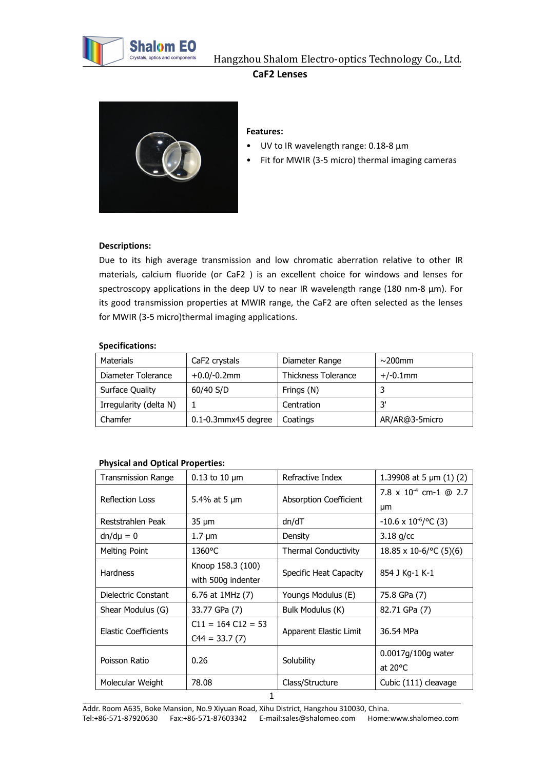

# **CaF2 Lenses**



# **Features:**

- UV to IR wavelength range: 0.18-8 μm
- Fit for MWIR (3-5 micro) thermal imaging cameras

## **Descriptions:**

Due to its high average transmission and low chromatic aberration relative to other IR materials, calcium fluoride (or CaF2 ) is an excellent choice for windows and lenses for spectroscopy applications in the deep UV to near IR wavelength range (180 nm-8 µm). For its good transmission properties at MWIR range, the CaF2 are often selected as the lenses for MWIR (3-5 micro)thermal imaging applications.

#### **Specifications:**

| Materials              | CaF2 crystals            | Diameter Range      | $\sim$ 200mm   |
|------------------------|--------------------------|---------------------|----------------|
| Diameter Tolerance     | $+0.0$ /-0.2mm           | Thickness Tolerance | $+/-0.1$ mm    |
| Surface Quality        | 60/40 S/D                | Frings (N)          |                |
| Irregularity (delta N) |                          | Centration          | יכ             |
| Chamfer                | $0.1 - 0.3$ mmx45 degree | Coatings            | AR/AR@3-5micro |

# **Physical and Optical Properties:**

| <b>Transmission Range</b> | $0.13$ to 10 $\mu$ m | Refractive Index            | 1.39908 at 5 $\mu$ m (1) (2)   |
|---------------------------|----------------------|-----------------------------|--------------------------------|
| <b>Reflection Loss</b>    | 5.4% at 5 $\mu$ m    | Absorption Coefficient      | 7.8 x $10^{-4}$ cm-1 @ 2.7     |
|                           |                      |                             | μm                             |
| Reststrahlen Peak         | $35 \mu m$           | dn/dT                       | $-10.6 \times 10^{-6}$ /°C (3) |
| $dn/d\mu = 0$             | $1.7 \mu m$          | Density                     | $3.18$ g/cc                    |
| Melting Point             | $1360^{\circ}$ C     | <b>Thermal Conductivity</b> | $18.85 \times 10^{-6}$ (5)(6)  |
| <b>Hardness</b>           | Knoop 158.3 (100)    |                             |                                |
|                           | with 500g indenter   | Specific Heat Capacity      | 854 J Kg-1 K-1                 |
| Dielectric Constant       | 6.76 at 1MHz (7)     | Youngs Modulus (E)          | 75.8 GPa (7)                   |
| Shear Modulus (G)         | 33.77 GPa (7)        | Bulk Modulus (K)            | 82.71 GPa (7)                  |
| Elastic Coefficients      | $C11 = 164 C12 = 53$ |                             | 36.54 MPa                      |
|                           | $C44 = 33.7(7)$      | Apparent Elastic Limit      |                                |
| Poisson Ratio             | 0.26                 | Solubility                  | $0.0017q/100q$ water           |
|                           |                      |                             | at $20^{\circ}$ C              |
| Molecular Weight          | 78.08                | Class/Structure             | Cubic (111) cleavage           |
|                           | 1                    |                             |                                |